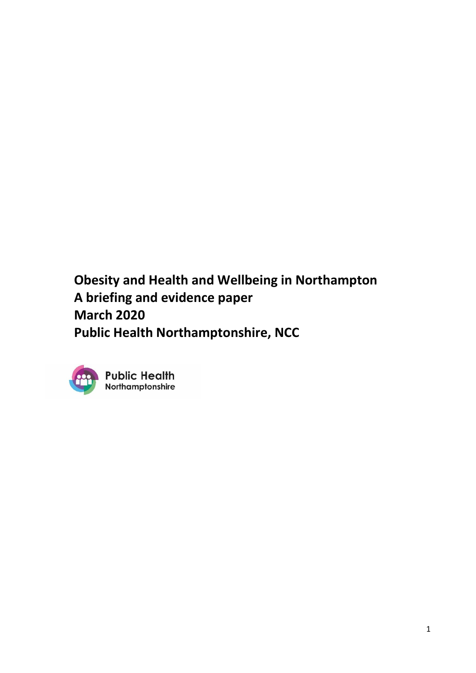**Obesity and Health and Wellbeing in Northampton A briefing and evidence paper March 2020 Public Health Northamptonshire, NCC**



**Public Health** Northamptonshire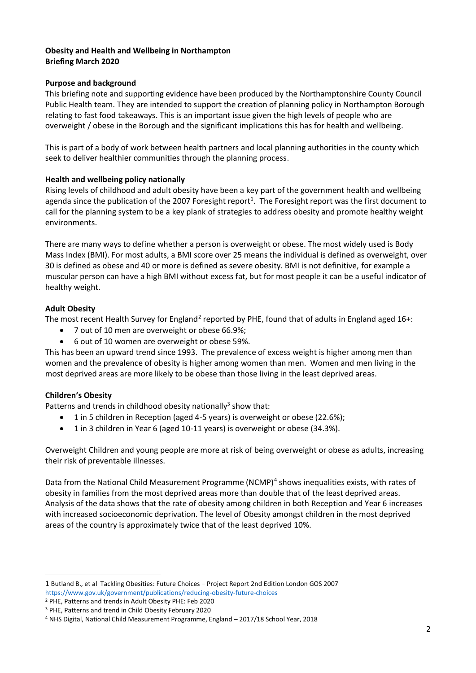# **Obesity and Health and Wellbeing in Northampton Briefing March 2020**

#### **Purpose and background**

This briefing note and supporting evidence have been produced by the Northamptonshire County Council Public Health team. They are intended to support the creation of planning policy in Northampton Borough relating to fast food takeaways. This is an important issue given the high levels of people who are overweight / obese in the Borough and the significant implications this has for health and wellbeing.

This is part of a body of work between health partners and local planning authorities in the county which seek to deliver healthier communities through the planning process.

#### **Health and wellbeing policy nationally**

Rising levels of childhood and adult obesity have been a key part of the government health and wellbeing agenda since the publication of the 2007 Foresight report<sup>1</sup>. The Foresight report was the first document to call for the planning system to be a key plank of strategies to address obesity and promote healthy weight environments.

There are many ways to define whether a person is overweight or obese. The most widely used is Body Mass Index (BMI). For most adults, a BMI score over 25 means the individual is defined as overweight, over 30 is defined as obese and 40 or more is defined as severe obesity. BMI is not definitive, for example a muscular person can have a high BMI without excess fat, but for most people it can be a useful indicator of healthy weight.

#### **Adult Obesity**

The most recent Health Survey for England<sup>2</sup> reported by PHE, found that of adults in England aged 16+:

- 7 out of 10 men are overweight or obese 66.9%;
- 6 out of 10 women are overweight or obese 59%.

This has been an upward trend since 1993. The prevalence of excess weight is higher among men than women and the prevalence of obesity is higher among women than men. Women and men living in the most deprived areas are more likely to be obese than those living in the least deprived areas.

#### **Children's Obesity**

Patterns and trends in childhood obesity nationally<sup>3</sup> show that:

- 1 in 5 children in Reception (aged 4-5 years) is overweight or obese (22.6%);
- 1 in 3 children in Year 6 (aged 10-11 years) is overweight or obese (34.3%).

Overweight Children and young people are more at risk of being overweight or obese as adults, increasing their risk of preventable illnesses.

Data from the National Child Measurement Programme (NCMP)<sup>4</sup> shows inequalities exists, with rates of obesity in families from the most deprived areas more than double that of the least deprived areas. Analysis of the data shows that the rate of obesity among children in both Reception and Year 6 increases with increased socioeconomic deprivation. The level of Obesity amongst children in the most deprived areas of the country is approximately twice that of the least deprived 10%.

<sup>1</sup> Butland B., et al Tackling Obesities: Future Choices – Project Report 2nd Edition London GOS 2007 <https://www.gov.uk/government/publications/reducing-obesity-future-choices>

<sup>2</sup> PHE, Patterns and trends in Adult Obesity PHE: Feb 2020

<sup>3</sup> PHE, Patterns and trend in Child Obesity February 2020

<sup>4</sup> NHS Digital, National Child Measurement Programme, England – 2017/18 School Year, 2018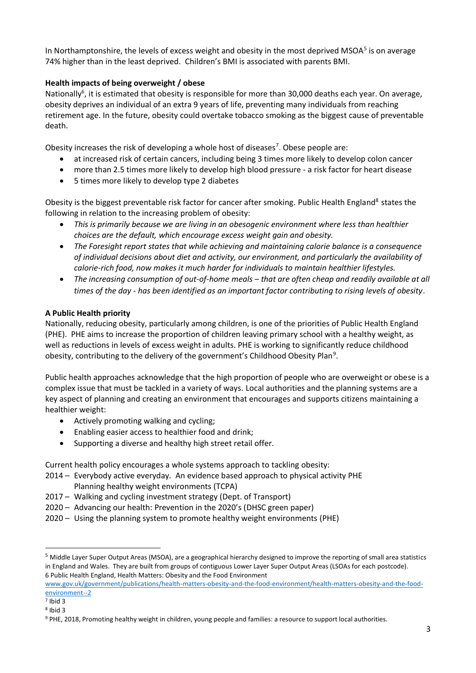In Northamptonshire, the levels of excess weight and obesity in the most deprived MSOA<sup>5</sup> is on average 74% higher than in the least deprived. Children's BMI is associated with parents BMI.

# **Health impacts of being overweight / obese**

Nationally<sup>6</sup>, it is estimated that obesity is responsible for more than 30,000 deaths each year. On average, obesity deprives an individual of an extra 9 years of life, preventing many individuals from reaching retirement age. In the future, obesity could overtake tobacco smoking as the biggest cause of preventable death.

Obesity increases the risk of developing a whole host of diseases<sup>7</sup>. Obese people are:

- at increased risk of certain cancers, including being 3 times more likely to develop colon cancer
- more than 2.5 times more likely to develop high blood pressure a risk factor for heart disease
- 5 times more likely to develop type 2 diabetes

Obesity is the biggest preventable risk factor for cancer after smoking. Public Health England<sup>8</sup> states the following in relation to the increasing problem of obesity:

- *This is primarily because we are living in an obesogenic environment where less than healthier choices are the default, which encourage excess weight gain and obesity.*
- *The Foresight report states that while achieving and maintaining calorie balance is a consequence of individual decisions about diet and activity, our environment, and particularly the availability of calorie-rich food, now makes it much harder for individuals to maintain healthier lifestyles.*
- The increasing consumption of out-of-home meals that are often cheap and readily available at all *times of the day - has been identified as an important factor contributing to rising levels of obesity*.

# **A Public Health priority**

Nationally, reducing obesity, particularly among children, is one of the priorities of Public Health England (PHE). PHE aims to increase the proportion of children leaving primary school with a healthy weight, as well as reductions in levels of excess weight in adults. PHE is working to significantly reduce childhood obesity, contributing to the delivery of the government's Childhood Obesity Plan<sup>9</sup>.

Public health approaches acknowledge that the high proportion of people who are overweight or obese is a complex issue that must be tackled in a variety of ways. Local authorities and the planning systems are a key aspect of planning and creating an environment that encourages and supports citizens maintaining a healthier weight:

- Actively promoting walking and cycling;
- Enabling easier access to healthier food and drink;
- Supporting a diverse and healthy high street retail offer.

Current health policy encourages a whole systems approach to tackling obesity:

- 2014 Everybody active everyday. An evidence based approach to physical activity PHE Planning healthy weight environments (TCPA)
- 2017 Walking and cycling investment strategy (Dept. of Transport)
- 2020 Advancing our health: Prevention in the 2020's (DHSC green paper)
- 2020 Using the planning system to promote healthy weight environments (PHE)

<sup>5</sup> Middle Layer Super Output Areas (MSOA), are a geographical hierarchy designed to improve the reporting of small area statistics in England and Wales. They are built from groups of contiguous Lower Layer Super Output Areas (LSOAs for each postcode). 6 Public Health England, Health Matters: Obesity and the Food Environment

[www.gov.uk/government/publications/health-matters-obesity-and-the-food-environment/health-matters-obesity-and-the-food](http://www.gov.uk/government/publications/health-matters-obesity-and-the-food-environment/health-matters-obesity-and-the-food-environment--2)[environment--2](http://www.gov.uk/government/publications/health-matters-obesity-and-the-food-environment/health-matters-obesity-and-the-food-environment--2)

<sup>7</sup> Ibid 3

<sup>8</sup> Ibid 3

<sup>9</sup> PHE, 2018, Promoting healthy weight in children, young people and families: a resource to support local authorities.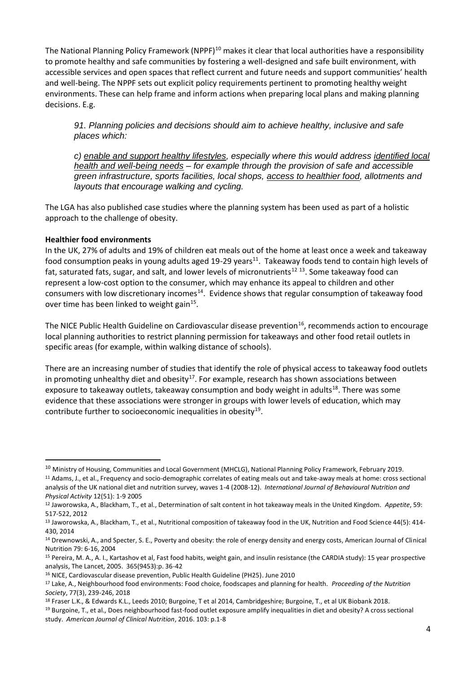The National Planning Policy Framework (NPPF)<sup>10</sup> makes it clear that local authorities have a responsibility to promote healthy and safe communities by fostering a well-designed and safe built environment, with accessible services and open spaces that reflect current and future needs and support communities' health and well-being. The NPPF sets out explicit policy requirements pertinent to promoting healthy weight environments. These can help frame and inform actions when preparing local plans and making planning decisions. E.g.

*91. Planning policies and decisions should aim to achieve healthy, inclusive and safe places which:*

*c) enable and support healthy lifestyles, especially where this would address identified local health and well-being needs – for example through the provision of safe and accessible green infrastructure, sports facilities, local shops, access to healthier food, allotments and layouts that encourage walking and cycling.*

The LGA has also published case studies where the planning system has been used as part of a holistic approach to the challenge of obesity.

#### **Healthier food environments**

In the UK, 27% of adults and 19% of children eat meals out of the home at least once a week and takeaway food consumption peaks in young adults aged 19-29 years<sup>11</sup>. Takeaway foods tend to contain high levels of fat, saturated fats, sugar, and salt, and lower levels of micronutrients<sup>12 13</sup>. Some takeaway food can represent a low-cost option to the consumer, which may enhance its appeal to children and other consumers with low discretionary incomes<sup>14</sup>. Evidence shows that regular consumption of takeaway food over time has been linked to weight gain<sup>15</sup>.

The NICE Public Health Guideline on Cardiovascular disease prevention<sup>16</sup>, recommends action to encourage local planning authorities to restrict planning permission for takeaways and other food retail outlets in specific areas (for example, within walking distance of schools).

There are an increasing number of studies that identify the role of physical access to takeaway food outlets in promoting unhealthy diet and obesity<sup>17</sup>. For example, research has shown associations between exposure to takeaway outlets, takeaway consumption and body weight in adults<sup>18</sup>. There was some evidence that these associations were stronger in groups with lower levels of education, which may contribute further to socioeconomic inequalities in obesity<sup>19</sup>.

<sup>&</sup>lt;sup>10</sup> Ministry of Housing, Communities and Local Government (MHCLG), National Planning Policy Framework, February 2019. <sup>11</sup> Adams, J., et al., Frequency and socio-demographic correlates of eating meals out and take-away meals at home: cross sectional analysis of the UK national diet and nutrition survey, waves 1-4 (2008-12). *International Journal of Behavioural Nutrition and Physical Activity* 12(51): 1-9 2005

<sup>12</sup> Jaworowska, A., Blackham, T., et al., Determination of salt content in hot takeaway meals in the United Kingdom. *Appetite*, 59: 517-522, 2012

<sup>13</sup> Jaworowska, A., Blackham, T., et al., Nutritional composition of takeaway food in the UK, Nutrition and Food Science 44(5): 414- 430, 2014

<sup>&</sup>lt;sup>14</sup> Drewnowski, A., and Specter, S. E., Poverty and obesity: the role of energy density and energy costs, American Journal of Clinical Nutrition 79: 6-16, 2004

<sup>&</sup>lt;sup>15</sup> Pereira, M. A., A. I., Kartashov et al, Fast food habits, weight gain, and insulin resistance (the CARDIA study): 15 year prospective analysis, The Lancet, 2005. 365(9453):p. 36-42

<sup>16</sup> NICE, Cardiovascular disease prevention, Public Health Guideline (PH25). June 2010

<sup>17</sup> Lake, A., Neighbourhood food environments: Food choice, foodscapes and planning for health. *Proceeding of the Nutrition Society*, 77(3), 239-246, 2018

<sup>18</sup> Fraser L.K., & Edwards K.L., Leeds 2010; Burgoine, T et al 2014, Cambridgeshire; Burgoine, T., et al UK Biobank 2018.

<sup>19</sup> Burgoine, T., et al., Does neighbourhood fast-food outlet exposure amplify inequalities in diet and obesity? A cross sectional study. *American Journal of Clinical Nutrition*, 2016. 103: p.1-8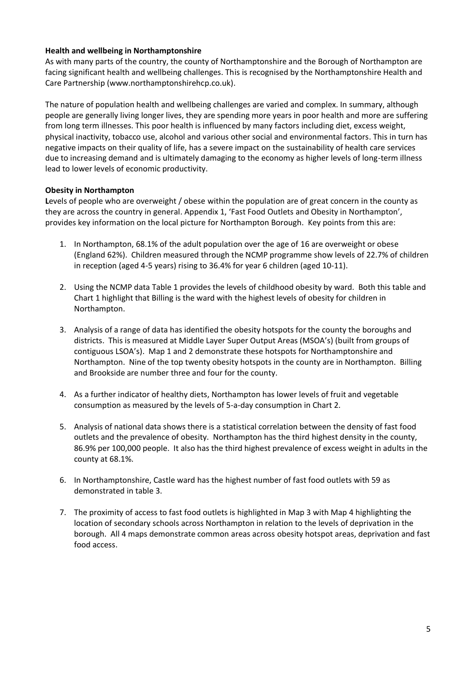#### **Health and wellbeing in Northamptonshire**

As with many parts of the country, the county of Northamptonshire and the Borough of Northampton are facing significant health and wellbeing challenges. This is recognised by the Northamptonshire Health and Care Partnership (www.northamptonshirehcp.co.uk).

The nature of population health and wellbeing challenges are varied and complex. In summary, although people are generally living longer lives, they are spending more years in poor health and more are suffering from long term illnesses. This poor health is influenced by many factors including diet, excess weight, physical inactivity, tobacco use, alcohol and various other social and environmental factors. This in turn has negative impacts on their quality of life, has a severe impact on the sustainability of health care services due to increasing demand and is ultimately damaging to the economy as higher levels of long-term illness lead to lower levels of economic productivity.

#### **Obesity in Northampton**

Levels of people who are overweight / obese within the population are of great concern in the county as they are across the country in general. Appendix 1, 'Fast Food Outlets and Obesity in Northampton', provides key information on the local picture for Northampton Borough. Key points from this are:

- 1. In Northampton, 68.1% of the adult population over the age of 16 are overweight or obese (England 62%). Children measured through the NCMP programme show levels of 22.7% of children in reception (aged 4-5 years) rising to 36.4% for year 6 children (aged 10-11).
- 2. Using the NCMP data Table 1 provides the levels of childhood obesity by ward. Both this table and Chart 1 highlight that Billing is the ward with the highest levels of obesity for children in Northampton.
- 3. Analysis of a range of data has identified the obesity hotspots for the county the boroughs and districts. This is measured at Middle Layer Super Output Areas (MSOA's) (built from groups of contiguous LSOA's). Map 1 and 2 demonstrate these hotspots for Northamptonshire and Northampton. Nine of the top twenty obesity hotspots in the county are in Northampton. Billing and Brookside are number three and four for the county.
- 4. As a further indicator of healthy diets, Northampton has lower levels of fruit and vegetable consumption as measured by the levels of 5-a-day consumption in Chart 2.
- 5. Analysis of national data shows there is a statistical correlation between the density of fast food outlets and the prevalence of obesity. Northampton has the third highest density in the county, 86.9% per 100,000 people. It also has the third highest prevalence of excess weight in adults in the county at 68.1%.
- 6. In Northamptonshire, Castle ward has the highest number of fast food outlets with 59 as demonstrated in table 3.
- 7. The proximity of access to fast food outlets is highlighted in Map 3 with Map 4 highlighting the location of secondary schools across Northampton in relation to the levels of deprivation in the borough. All 4 maps demonstrate common areas across obesity hotspot areas, deprivation and fast food access.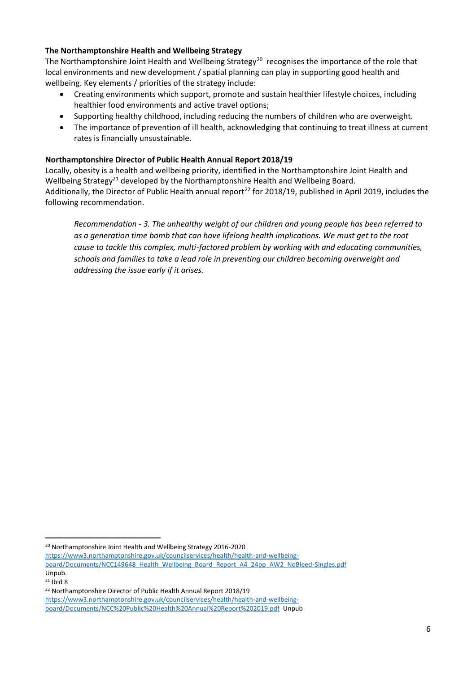#### **The Northamptonshire Health and Wellbeing Strategy**

The Northamptonshire Joint Health and Wellbeing Strategy<sup>20</sup> recognises the importance of the role that local environments and new development / spatial planning can play in supporting good health and wellbeing. Key elements / priorities of the strategy include:

- Creating environments which support, promote and sustain healthier lifestyle choices, including healthier food environments and active travel options;
- Supporting healthy childhood, including reducing the numbers of children who are overweight.
- The importance of prevention of ill health, acknowledging that continuing to treat illness at current rates is financially unsustainable.

# **Northamptonshire Director of Public Health Annual Report 2018/19**

Locally, obesity is a health and wellbeing priority, identified in the Northamptonshire Joint Health and Wellbeing Strategy<sup>21</sup> developed by the Northamptonshire Health and Wellbeing Board. Additionally, the Director of Public Health annual report<sup>22</sup> for 2018/19, published in April 2019, includes the following recommendation.

*Recommendation - 3. The unhealthy weight of our children and young people has been referred to as a generation time bomb that can have lifelong health implications. We must get to the root cause to tackle this complex, multi-factored problem by working with and educating communities, schools and families to take a lead role in preventing our children becoming overweight and addressing the issue early if it arises.*

<sup>20</sup> Northamptonshire Joint Health and Wellbeing Strategy 2016-2020

[https://www3.northamptonshire.gov.uk/councilservices/health/health-and-wellbeing-](https://www3.northamptonshire.gov.uk/councilservices/health/health-and-wellbeing-board/Documents/NCC149648_Health_Wellbeing_Board_Report_A4_24pp_AW2_NoBleed-Singles.pdf)

[board/Documents/NCC149648\\_Health\\_Wellbeing\\_Board\\_Report\\_A4\\_24pp\\_AW2\\_NoBleed-Singles.pdf](https://www3.northamptonshire.gov.uk/councilservices/health/health-and-wellbeing-board/Documents/NCC149648_Health_Wellbeing_Board_Report_A4_24pp_AW2_NoBleed-Singles.pdf) Unpub.

 $21$  Ibid 8

<sup>22</sup> Northamptonshire Director of Public Health Annual Report 2018/19

[https://www3.northamptonshire.gov.uk/councilservices/health/health-and-wellbeing](https://www3.northamptonshire.gov.uk/councilservices/health/health-and-wellbeing-board/Documents/NCC%20Public%20Health%20Annual%20Report%202019.pdf)[board/Documents/NCC%20Public%20Health%20Annual%20Report%202019.pdf](https://www3.northamptonshire.gov.uk/councilservices/health/health-and-wellbeing-board/Documents/NCC%20Public%20Health%20Annual%20Report%202019.pdf) Unpub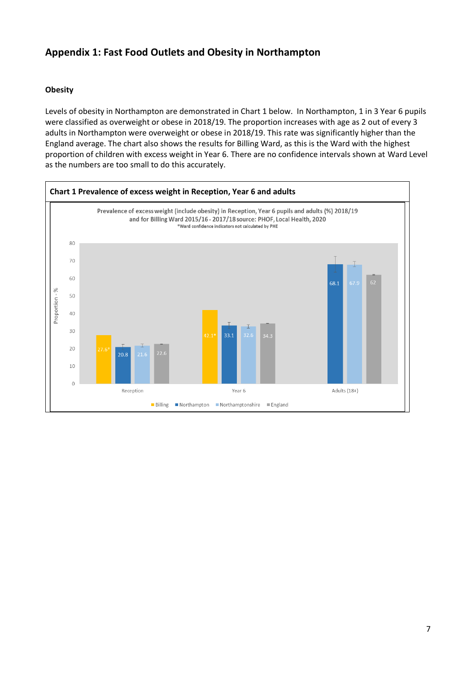# **Appendix 1: Fast Food Outlets and Obesity in Northampton**

# **Obesity**

Levels of obesity in Northampton are demonstrated in Chart 1 below. In Northampton, 1 in 3 Year 6 pupils were classified as overweight or obese in 2018/19. The proportion increases with age as 2 out of every 3 adults in Northampton were overweight or obese in 2018/19. This rate was significantly higher than the England average. The chart also shows the results for Billing Ward, as this is the Ward with the highest proportion of children with excess weight in Year 6. There are no confidence intervals shown at Ward Level as the numbers are too small to do this accurately.

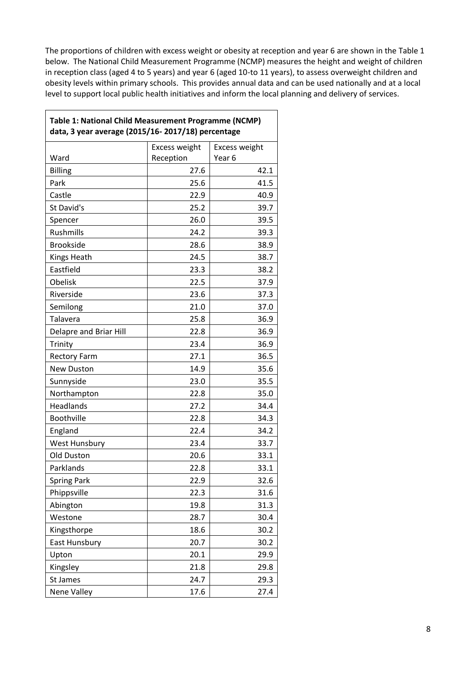The proportions of children with excess weight or obesity at reception and year 6 are shown in the Table 1 below. The National Child Measurement Programme (NCMP) measures the height and weight of children in reception class (aged 4 to 5 years) and year 6 (aged 10-to 11 years), to assess overweight children and obesity levels within primary schools. This provides annual data and can be used nationally and at a local level to support local public health initiatives and inform the local planning and delivery of services.

 $\mathsf{l}$ 

|                        | Excess weight | Excess weight     |
|------------------------|---------------|-------------------|
| Ward                   | Reception     | Year <sub>6</sub> |
| <b>Billing</b>         | 27.6          | 42.1              |
| Park                   | 25.6          | 41.5              |
| Castle                 | 22.9          | 40.9              |
| St David's             | 25.2          | 39.7              |
| Spencer                | 26.0          | 39.5              |
| Rushmills              | 24.2          | 39.3              |
| <b>Brookside</b>       | 28.6          | 38.9              |
| Kings Heath            | 24.5          | 38.7              |
| Eastfield              | 23.3          | 38.2              |
| Obelisk                | 22.5          | 37.9              |
| Riverside              | 23.6          | 37.3              |
| Semilong               | 21.0          | 37.0              |
| Talavera               | 25.8          | 36.9              |
| Delapre and Briar Hill | 22.8          | 36.9              |
| Trinity                | 23.4          | 36.9              |
| <b>Rectory Farm</b>    | 27.1          | 36.5              |
| <b>New Duston</b>      | 14.9          | 35.6              |
| Sunnyside              | 23.0          | 35.5              |
| Northampton            | 22.8          | 35.0              |
| Headlands              | 27.2          | 34.4              |
| Boothville             | 22.8          | 34.3              |
| England                | 22.4          | 34.2              |
| West Hunsbury          | 23.4          | 33.7              |
| Old Duston             | 20.6          | 33.1              |
| Parklands              | 22.8          | 33.1              |
| <b>Spring Park</b>     | 22.9          | 32.6              |
| Phippsville            | 22.3          | 31.6              |
| Abington               | 19.8          | 31.3              |
| Westone                | 28.7          | 30.4              |
| Kingsthorpe            | 18.6          | 30.2              |
| East Hunsbury          | 20.7          | 30.2              |
| Upton                  | 20.1          | 29.9              |
| Kingsley               | 21.8          | 29.8              |
| St James               | 24.7          | 29.3              |
| <b>Nene Valley</b>     | 17.6          | 27.4              |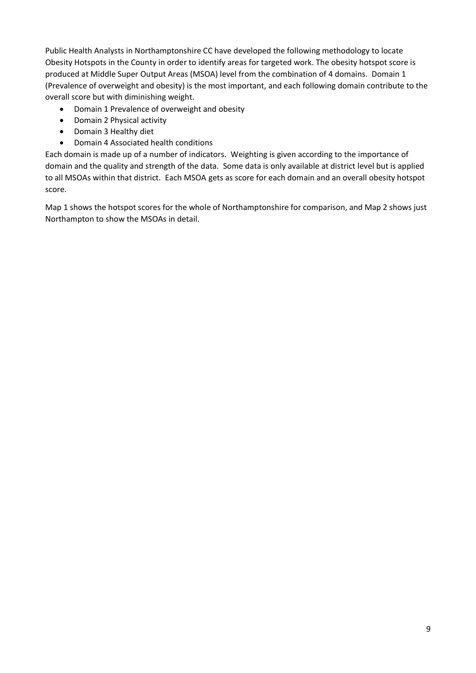Public Health Analysts in Northamptonshire CC have developed the following methodology to locate Obesity Hotspots in the County in order to identify areas for targeted work. The obesity hotspot score is produced at Middle Super Output Areas (MSOA) level from the combination of 4 domains. Domain 1 (Prevalence of overweight and obesity) is the most important, and each following domain contribute to the overall score but with diminishing weight.

- Domain 1 Prevalence of overweight and obesity
- Domain 2 Physical activity
- Domain 3 Healthy diet
- Domain 4 Associated health conditions

Each domain is made up of a number of indicators. Weighting is given according to the importance of domain and the quality and strength of the data. Some data is only available at district level but is applied to all MSOAs within that district. Each MSOA gets as score for each domain and an overall obesity hotspot score.

Map 1 shows the hotspot scores for the whole of Northamptonshire for comparison, and Map 2 shows just Northampton to show the MSOAs in detail.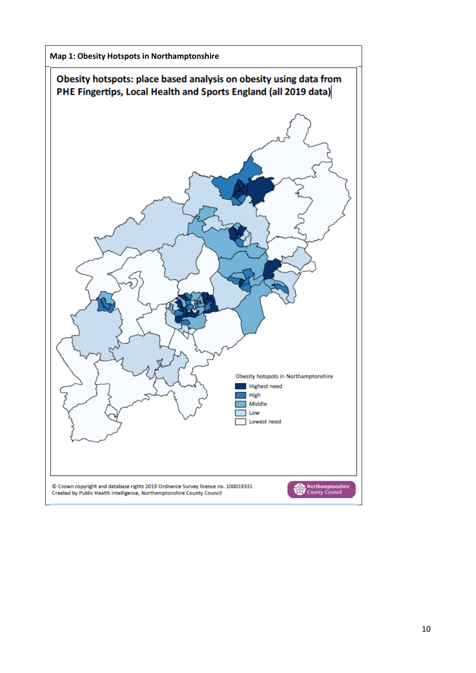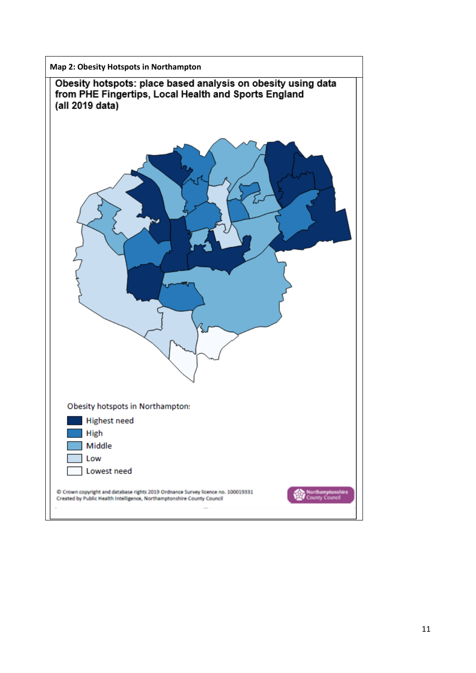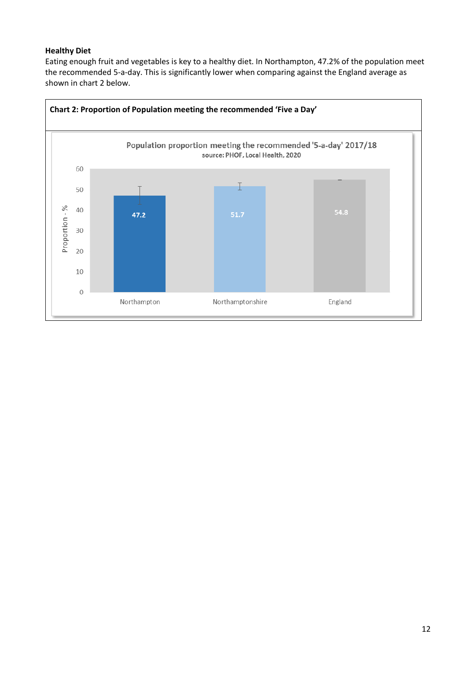# **Healthy Diet**

Eating enough fruit and vegetables is key to a healthy diet. In Northampton, 47.2% of the population meet the recommended 5-a-day. This is significantly lower when comparing against the England average as shown in chart 2 below.

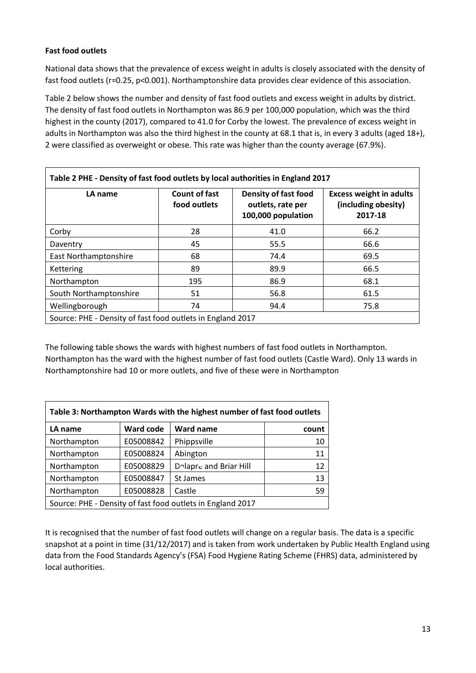# **Fast food outlets**

National data shows that the prevalence of excess weight in adults is closely associated with the density of fast food outlets (r=0.25, p<0.001). Northamptonshire data provides clear evidence of this association.

Table 2 below shows the number and density of fast food outlets and excess weight in adults by district. The density of fast food outlets in Northampton was 86.9 per 100,000 population, which was the third highest in the county (2017), compared to 41.0 for Corby the lowest. The prevalence of excess weight in adults in Northampton was also the third highest in the county at 68.1 that is, in every 3 adults (aged 18+), 2 were classified as overweight or obese. This rate was higher than the county average (67.9%).

| LA name                                                    | <b>Count of fast</b><br>food outlets | <b>Density of fast food</b><br>outlets, rate per<br>100,000 population | <b>Excess weight in adults</b><br>(including obesity)<br>2017-18 |  |  |
|------------------------------------------------------------|--------------------------------------|------------------------------------------------------------------------|------------------------------------------------------------------|--|--|
| Corby                                                      | 28                                   | 41.0                                                                   | 66.2                                                             |  |  |
| Daventry                                                   | 45                                   | 55.5                                                                   | 66.6                                                             |  |  |
| <b>East Northamptonshire</b>                               | 68                                   | 74.4                                                                   | 69.5                                                             |  |  |
| Kettering                                                  | 89                                   | 89.9                                                                   | 66.5                                                             |  |  |
| Northampton                                                | 195                                  | 86.9                                                                   | 68.1                                                             |  |  |
| South Northamptonshire                                     | 51                                   | 56.8                                                                   | 61.5                                                             |  |  |
| Wellingborough                                             | 74                                   | 94.4                                                                   | 75.8                                                             |  |  |
| Source: PHE - Density of fast food outlets in England 2017 |                                      |                                                                        |                                                                  |  |  |

The following table shows the wards with highest numbers of fast food outlets in Northampton. Northampton has the ward with the highest number of fast food outlets (Castle Ward). Only 13 wards in Northamptonshire had 10 or more outlets, and five of these were in Northampton

| Table 3: Northampton Wards with the highest number of fast food outlets |                  |                        |       |  |  |
|-------------------------------------------------------------------------|------------------|------------------------|-------|--|--|
| LA name                                                                 | <b>Ward code</b> | <b>Ward name</b>       | count |  |  |
| Northampton                                                             | E05008842        | Phippsville            | 10    |  |  |
| Northampton                                                             | E05008824        | Abington               | 11    |  |  |
| Northampton                                                             | E05008829        | Dolapre and Briar Hill | 12    |  |  |
| Northampton                                                             | E05008847        | St James               | 13    |  |  |
| Northampton                                                             | E05008828        | Castle                 | 59    |  |  |
| Source: PHE - Density of fast food outlets in England 2017              |                  |                        |       |  |  |

It is recognised that the number of fast food outlets will change on a regular basis. The data is a specific snapshot at a point in time (31/12/2017) and is taken from work undertaken by Public Health England using data from the Food Standards Agency's (FSA) Food Hygiene Rating Scheme (FHRS) data, administered by local authorities.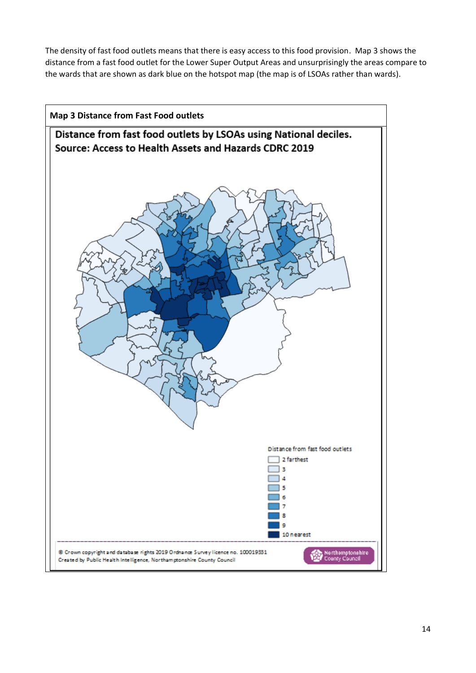The density of fast food outlets means that there is easy access to this food provision. Map 3 shows the distance from a fast food outlet for the Lower Super Output Areas and unsurprisingly the areas compare to the wards that are shown as dark blue on the hotspot map (the map is of LSOAs rather than wards).

![](_page_13_Figure_1.jpeg)